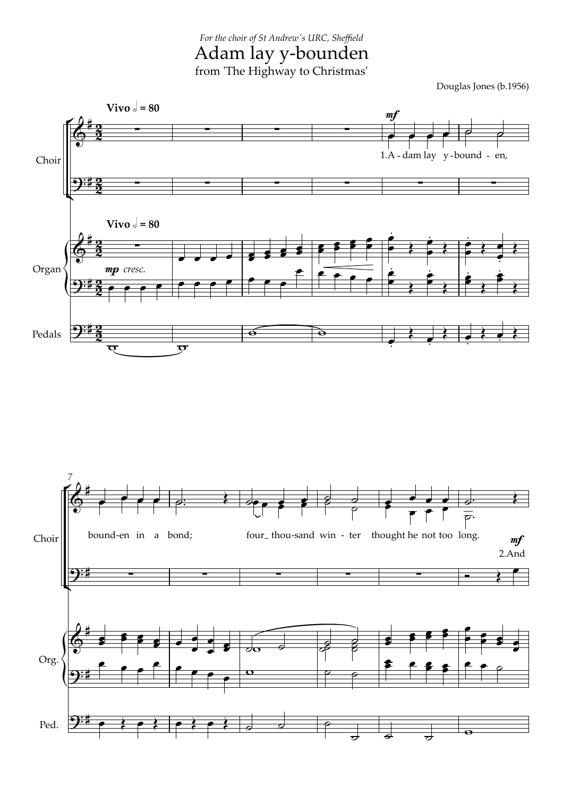from 'The Highway to Christmas' *For the choir of St Andrew's URC, Sheffield* Adam lay y-bounden

Douglas Jones (b.1956)



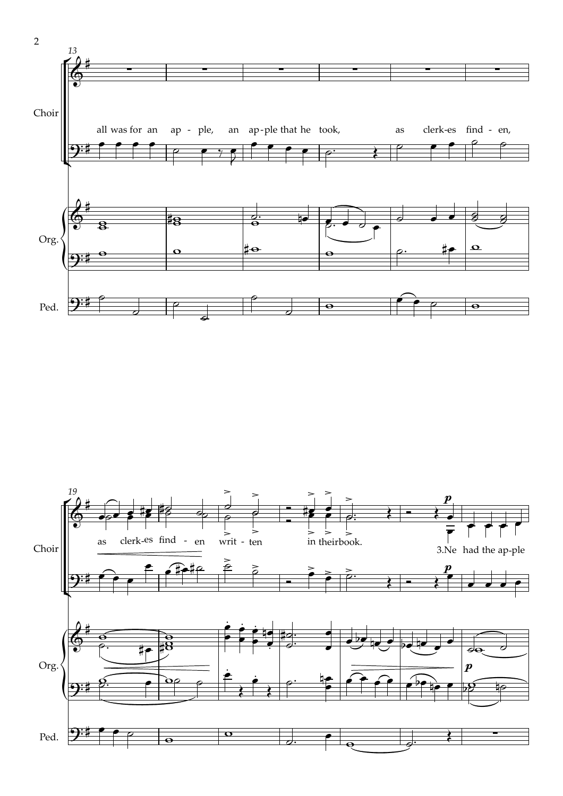

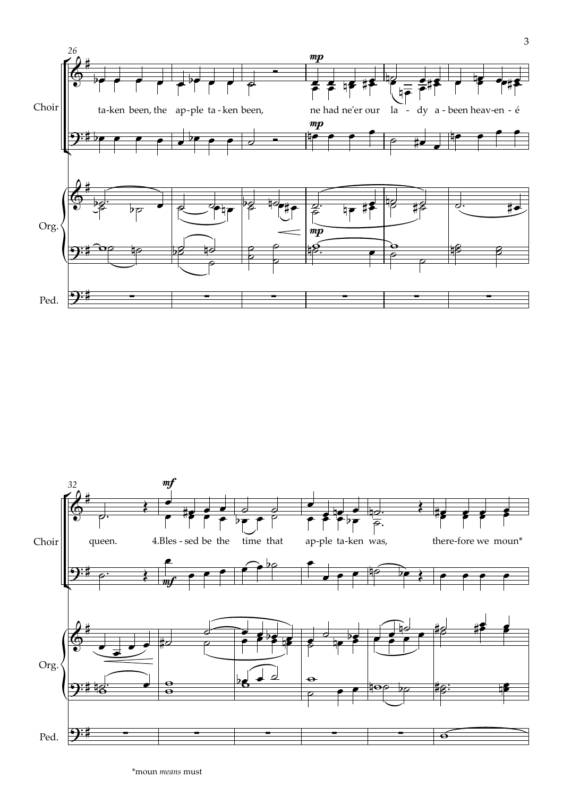



\*moun *means* must